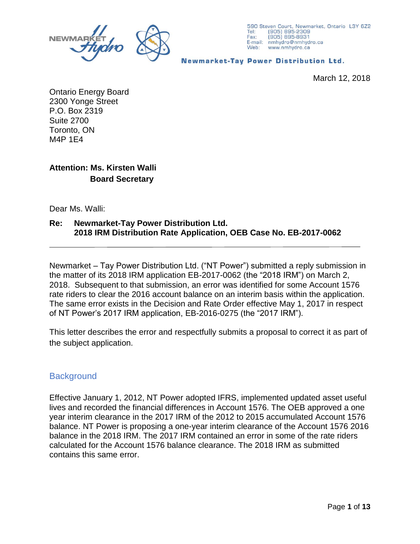



**Newmarket-Tay Power Distribution Ltd.** 

March 12, 2018

Ontario Energy Board 2300 Yonge Street P.O. Box 2319 Suite 2700 Toronto, ON M4P 1E4

### **Attention: Ms. Kirsten Walli Board Secretary**

Dear Ms. Walli:

#### **Re: Newmarket-Tay Power Distribution Ltd. 2018 IRM Distribution Rate Application, OEB Case No. EB-2017-0062**

Newmarket – Tay Power Distribution Ltd. ("NT Power") submitted a reply submission in the matter of its 2018 IRM application EB-2017-0062 (the "2018 IRM") on March 2, 2018. Subsequent to that submission, an error was identified for some Account 1576 rate riders to clear the 2016 account balance on an interim basis within the application. The same error exists in the Decision and Rate Order effective May 1, 2017 in respect of NT Power's 2017 IRM application, EB-2016-0275 (the "2017 IRM").

This letter describes the error and respectfully submits a proposal to correct it as part of the subject application.

### **Background**

Effective January 1, 2012, NT Power adopted IFRS, implemented updated asset useful lives and recorded the financial differences in Account 1576. The OEB approved a one year interim clearance in the 2017 IRM of the 2012 to 2015 accumulated Account 1576 balance. NT Power is proposing a one-year interim clearance of the Account 1576 2016 balance in the 2018 IRM. The 2017 IRM contained an error in some of the rate riders calculated for the Account 1576 balance clearance. The 2018 IRM as submitted contains this same error.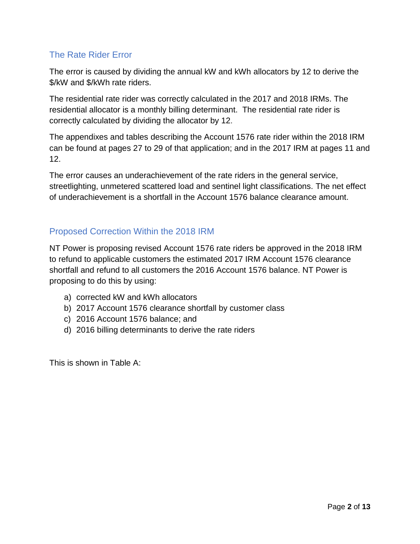## The Rate Rider Error

The error is caused by dividing the annual kW and kWh allocators by 12 to derive the \$/kW and \$/kWh rate riders.

The residential rate rider was correctly calculated in the 2017 and 2018 IRMs. The residential allocator is a monthly billing determinant. The residential rate rider is correctly calculated by dividing the allocator by 12.

The appendixes and tables describing the Account 1576 rate rider within the 2018 IRM can be found at pages 27 to 29 of that application; and in the 2017 IRM at pages 11 and 12.

The error causes an underachievement of the rate riders in the general service, streetlighting, unmetered scattered load and sentinel light classifications. The net effect of underachievement is a shortfall in the Account 1576 balance clearance amount.

# Proposed Correction Within the 2018 IRM

NT Power is proposing revised Account 1576 rate riders be approved in the 2018 IRM to refund to applicable customers the estimated 2017 IRM Account 1576 clearance shortfall and refund to all customers the 2016 Account 1576 balance. NT Power is proposing to do this by using:

- a) corrected kW and kWh allocators
- b) 2017 Account 1576 clearance shortfall by customer class
- c) 2016 Account 1576 balance; and
- d) 2016 billing determinants to derive the rate riders

This is shown in Table A: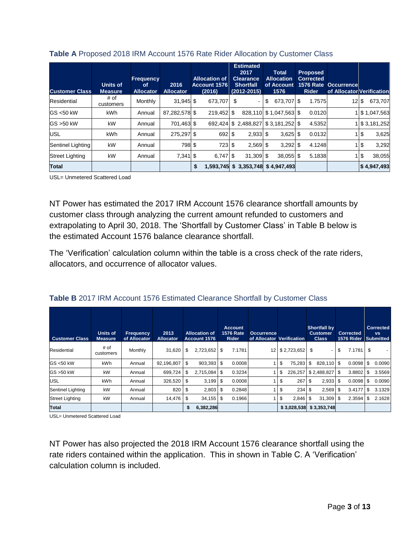| <b>Customer Class</b> | Units of<br><b>Measure</b> | <b>Frequency</b><br>οf<br><b>Allocator</b> | 2016<br><b>Allocator</b> | <b>Allocation of</b><br>Account 1576<br>(2016) |      | <b>Estimated</b><br>2017<br><b>Clearance</b><br><b>Shortfall</b><br>$(2012 - 2015)$ | <b>Total</b><br><b>Allocation</b><br>of Account<br>1576 | <b>Proposed</b><br><b>Corrected</b><br><b>1576 Rate</b><br><b>Rider</b> | <b>Occurrence</b><br>of Allocator Verification |     |               |
|-----------------------|----------------------------|--------------------------------------------|--------------------------|------------------------------------------------|------|-------------------------------------------------------------------------------------|---------------------------------------------------------|-------------------------------------------------------------------------|------------------------------------------------|-----|---------------|
| Residential           | # of<br>customers          | Monthly                                    | $31.945$ \$              | 673,707                                        | \$   | ۰                                                                                   | \$<br>673.707 \$                                        | 1.7575                                                                  | $12 \text{ s}$                                 |     | 673.707       |
| GS <50 kW             | <b>kWh</b>                 | Annual                                     | 87,282,578 \$            | 219,452 \$                                     |      |                                                                                     | 828,110 \$1,047,563 \$                                  | 0.0120                                                                  |                                                |     | 1 \$1,047,563 |
| GS >50 kW             | kW                         | Annual                                     | 701,463 \$               | 692.424                                        |      |                                                                                     | $$2,488,827$ $$3,181,252$ $$$                           | 4.5352                                                                  |                                                |     | \$3,181,252   |
| <b>USL</b>            | <b>kWh</b>                 | Annual                                     | 275.297 \$               | 692                                            | \$   | $2.933$ \$                                                                          | $3.625$ \$                                              | 0.0132                                                                  |                                                | 1\$ | 3,625         |
| Sentinel Lighting     | kW                         | Annual                                     | 798 \$                   | 723                                            | - \$ | $2,569$ \$                                                                          | $3,292$ \$                                              | 4.1248                                                                  |                                                | 15  | 3,292         |
| Street Lighting       | kW                         | Annual                                     | $7,341$ \$               | $6.747$ \$                                     |      | $31,309$ \$                                                                         | $38.055$ \$                                             | 5.1838                                                                  |                                                | 1\$ | 38,055        |
| <b>Total</b>          |                            |                                            |                          | \$<br>1,593,745                                |      |                                                                                     | $$3,353,748$ $$4,947,493$                               |                                                                         |                                                |     | \$4,947,493   |

#### **Table A** Proposed 2018 IRM Account 1576 Rate Rider Allocation by Customer Class

USL= Unmetered Scattered Load

NT Power has estimated the 2017 IRM Account 1576 clearance shortfall amounts by customer class through analyzing the current amount refunded to customers and extrapolating to April 30, 2018. The 'Shortfall by Customer Class' in Table B below is the estimated Account 1576 balance clearance shortfall.

The 'Verification' calculation column within the table is a cross check of the rate riders, allocators, and occurrence of allocator values.

| <b>Customer Class</b>  | <b>Units of</b><br><b>Measure</b> | <b>Frequency</b><br>of Allocator | 2013<br><b>Allocator</b> |    | <b>Allocation of</b><br>Account 1576 | <b>Account</b><br><b>1576 Rate</b><br><b>Rider</b> | <b>Occurrence</b><br>of Allocator Verification |    |             | <b>Shortfall by</b><br><b>Customer</b><br><b>Class</b> |      | <b>Corrected</b><br><b>1576 Rider</b> |     | <b>Corrected</b><br><b>VS</b><br><b>Submitted</b> |
|------------------------|-----------------------------------|----------------------------------|--------------------------|----|--------------------------------------|----------------------------------------------------|------------------------------------------------|----|-------------|--------------------------------------------------------|------|---------------------------------------|-----|---------------------------------------------------|
| Residential            | # of<br>customers                 | Monthly                          | 31,620                   | \$ | $2,723,652$ \$                       | 7.1781                                             | 12                                             |    | \$2,723,652 | \$                                                     | \$   | $7.1781$ \$                           |     |                                                   |
| GS <50 kW              | kWh                               | Annual                           | 92,196,807               | \$ | $903.393$ $\sqrt{5}$                 | 0.0008                                             |                                                | \$ | 75.283      | \$<br>828.110 \$                                       |      | 0.0098                                | \$  | 0.0090                                            |
| GS >50 kW              | kW                                | Annual                           | 699.724                  | \$ | $2.715.084$ \ \ \$                   | 0.3234                                             |                                                | \$ | 226.257     | \$2,488,827                                            | l \$ | 3.8802                                |     | 3.5569                                            |
| <b>USL</b>             | kWh                               | Annual                           | 326,520                  | S  | 3,199                                | 0.0008<br>S                                        |                                                | \$ | 267         | \$<br>$2,933$ \$                                       |      | 0.0098                                | S   | 0.0090                                            |
| Sentinel Lighting      | kW                                | Annual                           | 820                      | ű. | $2,803$ \$                           | 0.2848                                             |                                                | \$ | 234         | \$<br>2,569                                            | - \$ | 3.4177                                |     | 3.1329                                            |
| <b>Street Lighting</b> | kW                                | Annual                           | 14,476                   | S  | $34.155$ \ \$                        | 0.1966                                             |                                                | \$ | 2.846       | \$<br>$31.309$ \$                                      |      | 2.3594                                | \$. | 2.1628                                            |
| <b>Total</b>           |                                   |                                  |                          | \$ | 6,382,286                            |                                                    |                                                |    | \$3,028,538 | \$3,353,748                                            |      |                                       |     |                                                   |

USL= Unmetered Scattered Load

NT Power has also projected the 2018 IRM Account 1576 clearance shortfall using the rate riders contained within the application. This in shown in Table C. A 'Verification' calculation column is included.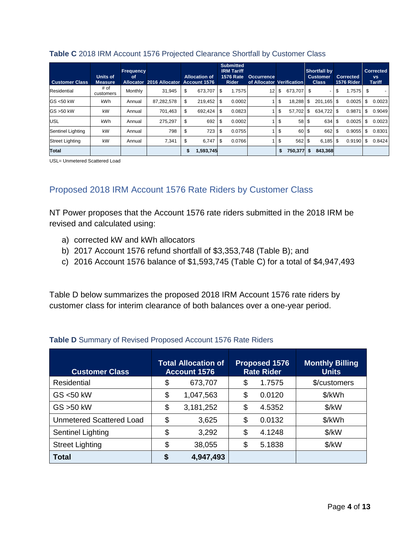| <b>Customer Class</b>  | Units of<br><b>Measure</b> | <b>Frequency</b><br>0f<br><b>Allocator</b> | 2016 Allocator | <b>Allocation of</b><br>Account 1576 |           | <b>Submitted</b><br><b>IRM Tariff</b><br><b>1576 Rate</b><br><b>Rider</b> | <b>Occurrence</b><br>of Allocator Verification |     |         |      | <b>Shortfall by</b><br><b>Customer</b><br><b>Class</b> | <b>Corrected</b><br><b>1576 Rider</b> |     | <b>Corrected</b><br><b>VS</b><br><b>Tariff</b> |
|------------------------|----------------------------|--------------------------------------------|----------------|--------------------------------------|-----------|---------------------------------------------------------------------------|------------------------------------------------|-----|---------|------|--------------------------------------------------------|---------------------------------------|-----|------------------------------------------------|
| Residential            | # of<br>customers          | Monthly                                    | 31.945         | \$<br>673.707                        | ା \$      | 1.7575                                                                    | 12 <sub>1</sub>                                | S   | 673.707 | - \$ | $\overline{a}$                                         | \$<br>1.7575                          | \$  |                                                |
| GS <50 kW              | kWh                        | Annual                                     | 87,282,578     | \$<br>219,452 \$                     |           | 0.0002                                                                    |                                                | \$  | 18.288  | S    | 201.165 \$                                             | 0.0025                                | \$  | 0.0023                                         |
| GS >50 kW              | kW                         | Annual                                     | 701.463        | \$<br>692.424                        | <b>1S</b> | 0.0823                                                                    |                                                | \$  | 57.702  | \$   | 634.722 \$                                             | 0.9871                                | \$  | 0.9049                                         |
| <b>USL</b>             | kWh                        | Annual                                     | 275,297        | \$<br>692                            | <b>S</b>  | 0.0002                                                                    |                                                | -\$ | 58 \$   |      | 634                                                    | \$<br>0.0025                          | \$. | 0.0023                                         |
| Sentinel Lighting      | kW                         | Annual                                     | 798            | \$<br>723                            | \$        | 0.0755                                                                    |                                                | \$  | 60 \$   |      | 662 \$                                                 | 0.9055                                | \$. | 0.8301                                         |
| <b>Street Lighting</b> | kW                         | Annual                                     | 7.341          | \$<br>6.747                          | ี I \$    | 0.0766                                                                    |                                                | \$  | 562 \$  |      | $6.185$ \$                                             | 0.9190                                | \$  | 0.8424                                         |
| <b>Total</b>           |                            |                                            |                | \$<br>1,593,745                      |           |                                                                           |                                                | \$  | 750,377 | \$   | 843,368                                                |                                       |     |                                                |

#### **Table C** 2018 IRM Account 1576 Projected Clearance Shortfall by Customer Class

USL= Unmetered Scattered Load

# Proposed 2018 IRM Account 1576 Rate Riders by Customer Class

NT Power proposes that the Account 1576 rate riders submitted in the 2018 IRM be revised and calculated using:

- a) corrected kW and kWh allocators
- b) 2017 Account 1576 refund shortfall of \$3,353,748 (Table B); and
- c) 2016 Account 1576 balance of \$1,593,745 (Table C) for a total of \$4,947,493

Table D below summarizes the proposed 2018 IRM Account 1576 rate riders by customer class for interim clearance of both balances over a one-year period.

| <b>Customer Class</b>           | <b>Total Allocation of</b><br><b>Account 1576</b> | <b>Proposed 1576</b><br><b>Rate Rider</b> | <b>Monthly Billing</b><br><b>Units</b> |
|---------------------------------|---------------------------------------------------|-------------------------------------------|----------------------------------------|
| <b>Residential</b>              | \$<br>673,707                                     | \$<br>1.7575                              | \$/customers                           |
| GS <50 kW                       | \$<br>1,047,563                                   | \$<br>0.0120                              | \$/kWh                                 |
| GS > 50 kW                      | \$<br>3,181,252                                   | \$<br>4.5352                              | $\frac{1}{2}$ /kW                      |
| <b>Unmetered Scattered Load</b> | \$<br>3,625                                       | \$<br>0.0132                              | \$/kWh                                 |
| Sentinel Lighting               | \$<br>3,292                                       | \$<br>4.1248                              | $\frac{1}{2}$ /kW                      |
| <b>Street Lighting</b>          | \$<br>38,055                                      | \$<br>5.1838                              | $\frac{K}{W}$                          |
| <b>Total</b>                    | \$<br>4,947,493                                   |                                           |                                        |

### **Table D** Summary of Revised Proposed Account 1576 Rate Riders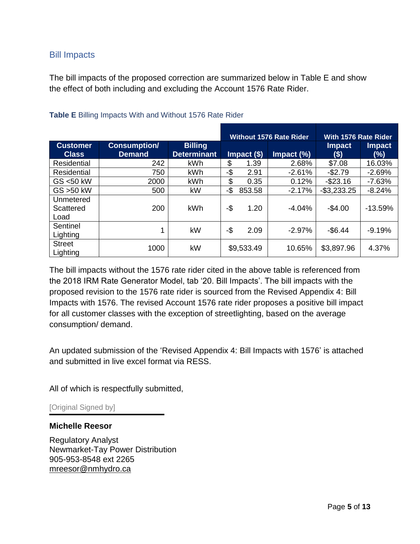### Bill Impacts

The bill impacts of the proposed correction are summarized below in Table E and show the effect of both including and excluding the Account 1576 Rate Rider.

|                                 |                                      |                                      |     |               | <b>Without 1576 Rate Rider</b> | With 1576 Rate Rider  |                         |
|---------------------------------|--------------------------------------|--------------------------------------|-----|---------------|--------------------------------|-----------------------|-------------------------|
| <b>Customer</b><br><b>Class</b> | <b>Consumption/</b><br><b>Demand</b> | <b>Billing</b><br><b>Determinant</b> |     | $Impact($ \$) | Impact (%)                     | <b>Impact</b><br>(\$) | <b>Impact</b><br>$(\%)$ |
| Residential                     | 242                                  | kWh                                  | \$  | 1.39          | 2.68%                          | \$7.08                | 16.03%                  |
| Residential                     | 750                                  | kWh                                  | -\$ | 2.91          | $-2.61%$                       | $-$2.79$              | $-2.69%$                |
| GS <50 kW                       | 2000                                 | <b>kWh</b>                           | \$  | 0.35          | 0.12%                          | $-$ \$23.16           | $-7.63%$                |
| GS > 50 kW                      | 500                                  | kW                                   | -\$ | 853.58        | $-2.17%$                       | $-$ \$3,233.25        | $-8.24%$                |
| Unmetered<br>Scattered<br>Load  | 200                                  | <b>kWh</b>                           | -\$ | 1.20          | -4.04%                         | $-$4.00$              | $-13.59%$               |
| Sentinel<br>Lighting            | 1                                    | kW                                   | -\$ | 2.09          | $-2.97\%$                      | $-$6.44$              | $-9.19%$                |
| <b>Street</b><br>Lighting       | 1000                                 | kW                                   |     | \$9,533.49    | 10.65%                         | \$3,897.96            | 4.37%                   |

### **Table E** Billing Impacts With and Without 1576 Rate Rider

The bill impacts without the 1576 rate rider cited in the above table is referenced from the 2018 IRM Rate Generator Model, tab '20. Bill Impacts'. The bill impacts with the proposed revision to the 1576 rate rider is sourced from the Revised Appendix 4: Bill Impacts with 1576. The revised Account 1576 rate rider proposes a positive bill impact for all customer classes with the exception of streetlighting, based on the average consumption/ demand.

An updated submission of the 'Revised Appendix 4: Bill Impacts with 1576' is attached and submitted in live excel format via RESS.

All of which is respectfully submitted,

[Original Signed by]

### **Michelle Reesor**

Regulatory Analyst Newmarket-Tay Power Distribution 905-953-8548 ext 2265 [mreesor@nmhydro.ca](mailto:mreesor@nmhydro.ca)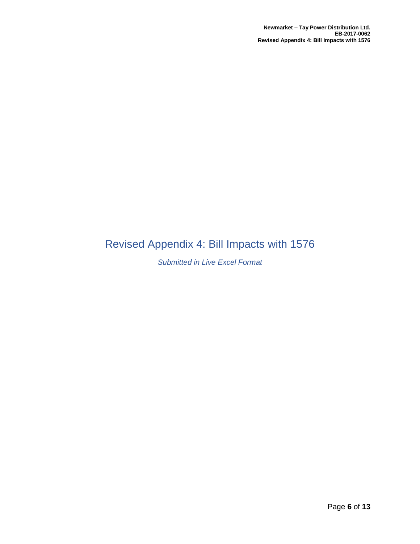# Revised Appendix 4: Bill Impacts with 1576

### *Submitted in Live Excel Format*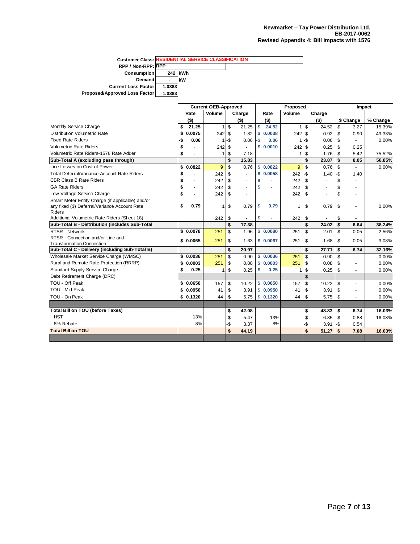**Customer Class: RESIDENTIAL SERVICE CLASSIFICATION RPP / Non-RPP: RPP Consumption 242 kWh Demand - kW Current Loss Factor 1.0383 Proposed/Approved Loss Factor 1.0383**

|                                                    |                      | <b>Current OEB-Approved</b> |               |         | Proposed |            |              |         |                |     | Impact    |           |  |
|----------------------------------------------------|----------------------|-----------------------------|---------------|---------|----------|------------|--------------|---------|----------------|-----|-----------|-----------|--|
|                                                    | Rate                 | Volume                      |               | Charge  |          | Rate       | Volume       |         | Charge         |     |           |           |  |
|                                                    | $($ \$)              |                             |               | $($ \$) |          | $($ \$)    |              |         | $($ \$)        |     | \$ Change | % Change  |  |
| Monthly Service Charge                             | \$<br>21.25          | 1                           | \$            | 21.25   | S        | 24.52      | $\mathbf{1}$ | \$      | 24.52          | \$  | 3.27      | 15.39%    |  |
| <b>Distribution Volumetric Rate</b>                | 0.0075<br>\$         | 242                         | -\$           | 1.82    | s        | 0.0038     | 242          | \$      | 0.92           | -\$ | 0.90      | $-49.33%$ |  |
| <b>Fixed Rate Riders</b>                           | 0.06<br>-\$          | 1                           | -\$           | 0.06    | $-5$     | 0.06       |              | $1 - $$ | 0.06           | \$  |           | 0.00%     |  |
| <b>Volumetric Rate Riders</b>                      | \$                   | 242                         | \$            | $\sim$  | \$       | 0.0010     | 242          | \$      | 0.25           | \$  | 0.25      |           |  |
| Volumetric Rate Riders-1576 Rate Adder             | \$                   |                             | $1 -$ s       | 7.18    |          |            |              | $1 -$ s | 1.76           | \$  | 5.42      | $-75.52%$ |  |
| Sub-Total A (excluding pass through)               |                      |                             | \$            | 15.83   |          |            |              | \$      | 23.87          | \$  | 8.05      | 50.85%    |  |
| Line Losses on Cost of Power                       | \$<br>0.0822         | 9                           | $\mathsf{\$}$ | 0.76    |          | \$0.0822   | 9            | \$      | 0.76           | \$  |           | 0.00%     |  |
| <b>Total Deferral/Variance Account Rate Riders</b> | \$                   | 242                         | \$            |         |          | $-$0.0058$ | 242          | -\$     | 1.40           | -\$ | 1.40      |           |  |
| <b>CBR Class B Rate Riders</b>                     | \$<br>$\blacksquare$ | 242                         | \$            |         | \$       |            | 242          | \$      | ä,             | \$  | ٠         |           |  |
| <b>GA Rate Riders</b>                              | \$<br>$\blacksquare$ | 242                         | \$            | ×       | \$       |            | 242          | \$      | $\blacksquare$ | \$  | ٠         |           |  |
| Low Voltage Service Charge                         | \$                   | 242                         | \$            | ×.      |          |            | 242          | \$      | $\overline{a}$ | \$  | ٠         |           |  |
| Smart Meter Entity Charge (if applicable) and/or   |                      |                             |               |         |          |            |              |         |                |     |           |           |  |
| any fixed (\$) Deferral/Variance Account Rate      | \$<br>0.79           |                             | \$            | 0.79    | \$       | 0.79       | 1            | \$      | 0.79           | \$  | $\sim$    | 0.00%     |  |
| <b>Riders</b>                                      |                      |                             |               |         |          |            |              |         |                |     |           |           |  |
| Additional Volumetric Rate Riders (Sheet 18)       |                      | 242                         | \$            |         | \$       |            | 242          | \$      |                | \$  |           |           |  |
| Sub-Total B - Distribution (includes Sub-Total     |                      |                             | \$            | 17.38   |          |            |              | \$      | 24.02          | \$  | 6.64      | 38.24%    |  |
| <b>RTSR - Network</b>                              | \$0.0078             | 251                         | \$            | 1.96    |          | \$0.0080   | 251          | \$      | 2.01           | \$  | 0.05      | 2.56%     |  |
| RTSR - Connection and/or Line and                  | \$0.0065             | 251                         | \$            | 1.63    |          | \$0.0067   | 251          | \$      | 1.68           | \$  | 0.05      | 3.08%     |  |
| <b>Transformation Connection</b>                   |                      |                             |               |         |          |            |              |         |                |     |           |           |  |
| Sub-Total C - Delivery (including Sub-Total B)     |                      |                             | \$            | 20.97   |          |            |              | \$      | 27.71          | \$  | 6.74      | 32.16%    |  |
| Wholesale Market Service Charge (WMSC)             | \$0.0036             | 251                         | \$            | 0.90    |          | \$0.0036   | 251          | \$      | 0.90           | \$  |           | 0.00%     |  |
| Rural and Remote Rate Protection (RRRP)            | \$<br>0.0003         | 251                         | \$            | 0.08    | \$       | 0.0003     | 251          | \$      | 0.08           | \$  | ٠         | 0.00%     |  |
| <b>Standard Supply Service Charge</b>              | \$<br>0.25           |                             | \$            | 0.25    | \$       | 0.25       | 1            | \$      | 0.25           | \$  | ٠         | 0.00%     |  |
| Debt Retirement Charge (DRC)                       |                      |                             |               |         |          |            |              | \$      | $\blacksquare$ |     |           |           |  |
| TOU - Off Peak                                     | \$0.0650             | 157                         | \$            | 10.22   |          | \$0.0650   | 157          | \$      | 10.22          | \$  | $\sim$    | 0.00%     |  |
| TOU - Mid Peak                                     | \$0.0950             | 41                          | \$            | 3.91    |          | \$0.0950   | 41           | \$      | 3.91           | \$  | ٠         | 0.00%     |  |
| TOU - On Peak                                      | \$0.1320             | 44                          | \$            | 5.75    |          | \$0.1320   | 44           | \$      | 5.75           | \$  |           | 0.00%     |  |
|                                                    |                      |                             |               |         |          |            |              |         |                |     |           |           |  |
| <b>Total Bill on TOU (before Taxes)</b>            |                      |                             | \$            | 42.08   |          |            |              | \$      | 48.83          | \$  | 6.74      | 16.03%    |  |
| <b>HST</b>                                         | 13%                  |                             | \$            | 5.47    |          | 13%        |              | \$      | 6.35           | \$  | 0.88      | 16.03%    |  |
| 8% Rebate                                          | 8%                   |                             | ۰\$           | 3.37    |          | 8%         |              | -\$     | 3.91           | -\$ | 0.54      |           |  |
| <b>Total Bill on TOU</b>                           |                      |                             | \$            | 44.19   |          |            |              | \$      | 51.27          | \$  | 7.08      | 16.03%    |  |
|                                                    |                      |                             |               |         |          |            |              |         |                |     |           |           |  |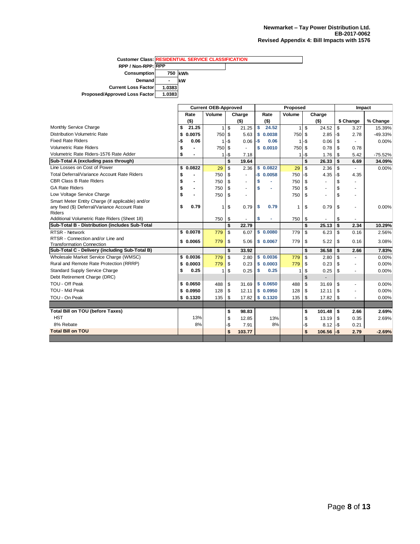**Customer Class: RESIDENTIAL SERVICE CLASSIFICATIONRPP / Non-RPP: RPP Consumption** 750 **kWh**<br>Demand - **kW Demand - kW Current Loss Factor 1.0383 Proposed/Approved Loss Factor 1.0383**

|                                                                                    |                                | <b>Current OEB-Approved</b> |     |         | Proposed |            |              |          |                |                | Impact    |           |
|------------------------------------------------------------------------------------|--------------------------------|-----------------------------|-----|---------|----------|------------|--------------|----------|----------------|----------------|-----------|-----------|
|                                                                                    | Rate                           | Volume                      |     | Charge  |          | Rate       | Volume       |          | Charge         |                |           |           |
|                                                                                    | $($ \$)                        |                             |     | $($ \$) |          | (5)        |              |          | (5)            |                | \$ Change | % Change  |
| Monthly Service Charge                                                             | 21.25<br>\$                    | 11                          | \$  | 21.25   | \$       | 24.52      | $\mathbf{1}$ | \$       | 24.52          | $\mathfrak{L}$ | 3.27      | 15.39%    |
| <b>Distribution Volumetric Rate</b>                                                | 0.0075<br>\$                   | 750                         | \$  | 5.63    | \$       | 0.0038     | 750 \$       |          | 2.85           | -\$            | 2.78      | $-49.33%$ |
| <b>Fixed Rate Riders</b>                                                           | -\$<br>0.06                    | 11                          | -\$ | 0.06    | $-$ \$   | 0.06       |              | $1 -$ \$ | 0.06           | \$             | ٠         | 0.00%     |
| <b>Volumetric Rate Riders</b>                                                      | \$                             | 750                         | \$  | $\sim$  |          | \$0.0010   | 750 \$       |          | 0.78           | \$             | 0.78      |           |
| Volumetric Rate Riders-1576 Rate Adder                                             | \$                             | 11                          | -\$ | 7.18    |          |            | 11           | -\$      | 1.76           | \$             | 5.42      | $-75.52%$ |
| Sub-Total A (excluding pass through)                                               |                                |                             | \$  | 19.64   |          |            |              | \$       | 26.33          | \$             | 6.69      | 34.09%    |
| Line Losses on Cost of Power                                                       | \$<br>0.0822                   | 29                          | \$  | 2.36    |          | \$0.0822   | 29           | \$       | 2.36           | \$             | ÷         | 0.00%     |
| <b>Total Deferral/Variance Account Rate Riders</b>                                 | \$                             | 750                         | \$  | ä,      |          | $-$0.0058$ | 750          | -\$      | 4.35           | -\$            | 4.35      |           |
| <b>CBR Class B Rate Riders</b>                                                     | \$<br>$\blacksquare$           | 750                         | \$  | ٠       | \$       |            | 750          | \$       | $\sim$         | \$             | ٠         |           |
| <b>GA Rate Riders</b>                                                              | \$<br>$\overline{\phantom{a}}$ | 750                         | \$  | $\sim$  | \$       |            | 750          | \$       | $\sim$         | \$             | ٠         |           |
| Low Voltage Service Charge                                                         | \$<br>$\overline{\phantom{a}}$ | 750                         | \$  | ÷.      |          |            | 750          | \$       | ÷.             | \$             | ÷         |           |
| Smart Meter Entity Charge (if applicable) and/or                                   |                                |                             |     |         |          |            |              |          |                |                |           |           |
| any fixed (\$) Deferral/Variance Account Rate                                      | 0.79<br>\$                     |                             | \$  | 0.79    | \$       | 0.79       | 1            | \$       | 0.79           | \$             | ٠         | 0.00%     |
| Riders                                                                             |                                |                             |     |         |          |            |              |          |                |                |           |           |
| Additional Volumetric Rate Riders (Sheet 18)                                       |                                | 750                         | \$  |         | \$       | ٠          | 750          | \$       |                | \$             |           |           |
| Sub-Total B - Distribution (includes Sub-Total                                     |                                |                             | \$  | 22.79   |          |            |              | \$       | 25.13          | \$             | 2.34      | 10.29%    |
| <b>RTSR - Network</b>                                                              | \$0.0078                       | 779                         | \$  | 6.07    |          | \$0.0080   | 779          | \$       | 6.23           | \$             | 0.16      | 2.56%     |
| RTSR - Connection and/or Line and                                                  | \$0.0065                       | 779                         | \$  | 5.06    |          | \$0.0067   | 779          | \$       | 5.22           | \$             | 0.16      | 3.08%     |
| <b>Transformation Connection</b><br>Sub-Total C - Delivery (including Sub-Total B) |                                |                             | \$  | 33.92   |          |            |              | \$       | 36.58          | \$             | 2.66      | 7.83%     |
| Wholesale Market Service Charge (WMSC)                                             | \$0.0036                       | 779                         | \$  | 2.80    |          | \$0.0036   | 779          | \$       | 2.80           | \$             | ٠         | 0.00%     |
| Rural and Remote Rate Protection (RRRP)                                            | \$0.0003                       | 779                         | \$  | 0.23    |          | \$0.0003   | 779          | \$       | 0.23           | \$             | ٠         | 0.00%     |
| <b>Standard Supply Service Charge</b>                                              | \$<br>0.25                     |                             | \$  | 0.25    | \$       | 0.25       | 1            | \$       | 0.25           | \$             | ٠         | 0.00%     |
| Debt Retirement Charge (DRC)                                                       |                                |                             |     |         |          |            |              | \$       | $\overline{a}$ |                |           |           |
| TOU - Off Peak                                                                     | \$0.0650                       | 488                         | \$  | 31.69   |          | \$0.0650   | 488          | \$       | 31.69          | \$             | $\sim$    | 0.00%     |
| TOU - Mid Peak                                                                     | \$0.0950                       | 128                         | \$  | 12.11   |          | \$0.0950   | 128          | \$       | 12.11          | \$             | ٠         | 0.00%     |
| TOU - On Peak                                                                      | \$0.1320                       | 135                         | \$  | 17.82   |          | \$0.1320   | 135          | \$       | 17.82          | \$             |           | 0.00%     |
|                                                                                    |                                |                             |     |         |          |            |              |          |                |                |           |           |
| <b>Total Bill on TOU (before Taxes)</b>                                            |                                |                             |     |         |          |            |              |          |                |                |           |           |
| <b>HST</b>                                                                         | 13%                            |                             | \$  | 98.83   |          |            |              | \$       | 101.48         | \$             | 2.66      | 2.69%     |
| 8% Rebate                                                                          | 8%                             |                             | \$  | 12.85   |          | 13%<br>8%  |              | \$       | 13.19          | \$             | 0.35      | 2.69%     |
| <b>Total Bill on TOU</b>                                                           |                                |                             | -\$ | 7.91    |          |            |              | -\$      | 8.12           | -\$            | 0.21      |           |
|                                                                                    |                                |                             | \$  | 103.77  |          |            |              | \$       | 106.56         | $-$            | 2.79      | $-2.69%$  |
|                                                                                    |                                |                             |     |         |          |            |              |          |                |                |           |           |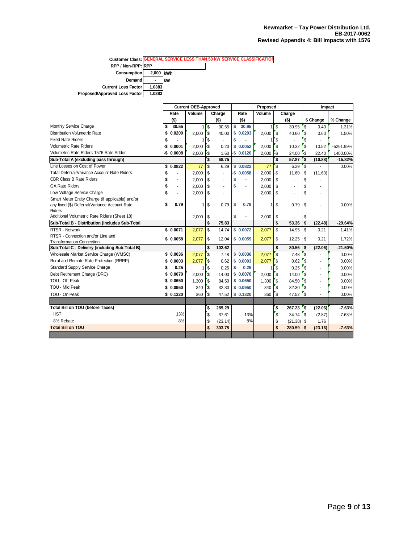|                               |           |    | <b>Customer Class: GENERAL SERVICE LESS THAN 50 KW SERVICE CLASSIFICATION</b> |
|-------------------------------|-----------|----|-------------------------------------------------------------------------------|
| RPP / Non-RPP: RPP            |           |    |                                                                               |
| <b>Consumption</b>            | 2.000 kWh |    |                                                                               |
| Demand                        | -         | kW |                                                                               |
| <b>Current Loss Factorl</b>   | 1.0383    |    |                                                                               |
| Proposed/Approved Loss Factor | 1.0383    |    |                                                                               |

|                                                                                    |                      | <b>Current OEB-Approved</b> |                         |         | Proposed |            |                   |              |              |               | Impact                   |             |
|------------------------------------------------------------------------------------|----------------------|-----------------------------|-------------------------|---------|----------|------------|-------------------|--------------|--------------|---------------|--------------------------|-------------|
|                                                                                    | Rate                 | Volume                      |                         | Charge  |          | Rate       | Volume            |              | Charge       |               |                          |             |
|                                                                                    | $($ \$)              |                             |                         | $($ \$) |          | $($ \$)    |                   |              | $($ \$)      |               | \$ Change                | % Change    |
| Monthly Service Charge                                                             | \$<br>30.55          | 1                           | $\overline{\mathbf{s}}$ | 30.55   | \$       | 30.95      |                   | <b>S</b>     | 30.95        | \$            | 0.40                     | 1.31%       |
| <b>Distribution Volumetric Rate</b>                                                | \$<br>0.0200         | 2,000                       | 's                      | 40.00   | \$       | 0.0203     | 2,000             | '\$          | 40.60        | <sup>\$</sup> | 0.60                     | 1.50%       |
| <b>Fixed Rate Riders</b>                                                           | \$                   |                             | $\mathbf{\hat{s}}$      |         |          |            |                   | S            |              | \$            |                          |             |
| <b>Volumetric Rate Riders</b>                                                      | -\$<br>0.0001        | 2.000                       | -\$                     | 0.20    | \$       | 0.0052     | 2,000             | $\mathsf{r}$ | 10.32        | '\$           | 10.52                    | $-5261.99%$ |
| Volumetric Rate Riders-1576 Rate Adder                                             | $-$0.0008$           | 2,000                       | -\$                     | 1.60    |          | $-$0.0120$ | $2,000$ -\$       |              | $24.00$ -S   |               | 22.40                    | 1400.00%    |
| Sub-Total A (excluding pass through)                                               |                      |                             | 's                      | 68.75   |          |            |                   | 's           | 57.87        | 's            | (10.88)                  | $-15.82%$   |
| Line Losses on Cost of Power                                                       | \$0.0822             | 77                          | $\mathbf{s}$            | 6.29    |          | \$0.0822   | 77                | 'S           | 6.29         | 's            |                          | 0.00%       |
| Total Deferral/Variance Account Rate Riders                                        | \$                   | 2.000                       | \$                      |         | -\$      | 0.0058     | 2,000             | $-$ \$       | 11.60        | S             | (11.60)                  |             |
| <b>CBR Class B Rate Riders</b>                                                     | \$<br>$\overline{a}$ | 2,000                       | \$                      | ä,      | \$       |            | 2,000             | \$           |              | \$            |                          |             |
| <b>GA Rate Riders</b>                                                              | \$<br>$\blacksquare$ | 2,000                       | \$                      | ٠       | \$       | ä,         | 2,000             | S            | ٠            | \$            |                          |             |
| Low Voltage Service Charge                                                         | \$<br>$\overline{a}$ | 2,000                       | \$                      | ٠       |          |            | 2,000             | S            | ٠            | \$            |                          |             |
| Smart Meter Entity Charge (if applicable) and/or                                   |                      |                             |                         |         |          |            |                   |              |              |               |                          |             |
| any fixed (\$) Deferral/Variance Account Rate                                      | \$<br>0.79           | 1                           | \$                      | 0.79    | \$       | 0.79       |                   | \$           | 0.79         | \$            | ä,                       | 0.00%       |
| <b>Riders</b>                                                                      |                      |                             |                         |         |          |            |                   |              |              |               |                          |             |
| Additional Volumetric Rate Riders (Sheet 18)                                       |                      | 2,000                       | \$                      |         | \$       | ÷,         | 2,000             | \$           |              | \$            |                          |             |
| Sub-Total B - Distribution (includes Sub-Total                                     |                      |                             | \$                      | 75.83   |          |            |                   | \$           | 53.36        | \$            | (22.48)                  | $-29.64%$   |
| <b>RTSR - Network</b>                                                              | \$0.0071             | 2,077                       | \$                      | 14.74   |          | \$0.0072   | 2,077             | \$           | 14.95        | \$            | 0.21                     | 1.41%       |
| RTSR - Connection and/or Line and                                                  | \$0.0058             | 2,077                       | \$                      | 12.04   |          | \$0.0059   | 2.077             | \$           | 12.25        | S             | 0.21                     | 1.72%       |
| <b>Transformation Connection</b><br>Sub-Total C - Delivery (including Sub-Total B) |                      |                             | \$                      | 102.62  |          |            |                   | \$           | 80.56        | \$            | (22.06)                  | $-21.50%$   |
| Wholesale Market Service Charge (WMSC)                                             |                      |                             |                         |         |          |            |                   |              |              |               |                          |             |
|                                                                                    | \$0.0036             | 2.077                       | $\mathbf{s}$            | 7.48    |          | \$0.0036   | 2.077             | 'S           | 7.48         | 's            |                          | 0.00%       |
| Rural and Remote Rate Protection (RRRP)                                            | \$0.0003             | 2,077                       | $\mathbf{\hat{s}}$      | 0.62    | \$       | 0.0003     | 2,077             | S            | 0.62         | \$            | $\blacksquare$           | 0.00%       |
| Standard Supply Service Charge                                                     | \$<br>0.25           |                             | $\mathbf{\hat{s}}$      | 0.25    | S        | 0.25       |                   | \$           | 0.25         | `\$           | $\blacksquare$           | 0.00%       |
| Debt Retirement Charge (DRC)                                                       | \$0.0070             | 2,000                       | '\$                     | 14.00   |          | \$0.0070   | 2,000             | $\sqrt{3}$   | 14.00        | ' \$          | $\blacksquare$           | 0.00%       |
| TOU - Off Peak                                                                     | \$0.0650             | 1,300                       | $\overline{\mathbf{s}}$ | 84.50   |          | \$0.0650   |                   |              | 84.50        | ٔ \$          | $\overline{\phantom{a}}$ | 0.00%       |
| TOU - Mid Peak                                                                     | \$0.0950             | 340                         | $\mathbf{\hat{s}}$      | 32.30   |          | \$0.0950   | 340               | 'S           | 32.30        | '\$           | $\blacksquare$           | 0.00%       |
| TOU - On Peak                                                                      | \$0.1320             | 360                         | \$                      | 47.52   |          | \$0.1320   | $360$ $\sqrt{\$}$ |              | 47.52        | '\$           |                          | 0.00%       |
|                                                                                    |                      |                             |                         |         |          |            |                   |              |              |               |                          |             |
| <b>Total Bill on TOU (before Taxes)</b>                                            |                      |                             | \$                      | 289.29  |          |            |                   | \$           | 267.23       | '\$           | (22.06)                  | $-7.63%$    |
| <b>HST</b>                                                                         | 13%                  |                             | $\mathbf{\hat{s}}$      | 37.61   |          | 13%        |                   | \$           | $34.74$ \\$  |               | (2.87)                   | $-7.63%$    |
| 8% Rebate                                                                          | 8%                   |                             | \$                      | (23.14) |          | 8%         |                   | \$           | $(21.38)$ \$ |               | 1.76                     |             |
| <b>Total Bill on TOU</b>                                                           |                      |                             | \$                      | 303.75  |          |            |                   | \$           | 280.59       | \$            | (23.16)                  | $-7.63%$    |
|                                                                                    |                      |                             |                         |         |          |            |                   |              |              |               |                          |             |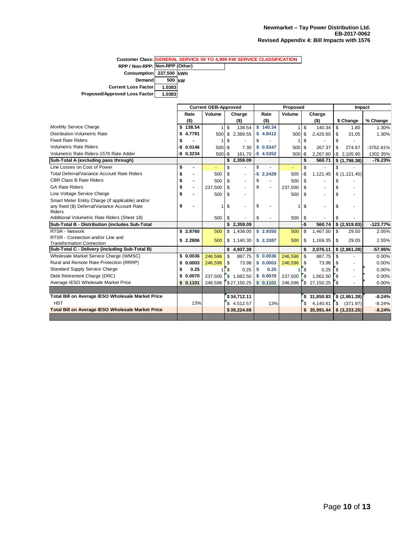|                                |        | <b>Customer Class: GENERAL SERVICE 50 TO 4,999 KW SERVICE CLASSIFICATION</b> |
|--------------------------------|--------|------------------------------------------------------------------------------|
| RPP / Non-RPP: Non-RPP (Other) |        |                                                                              |
| Consumption 237,500 kWh        |        |                                                                              |
| Demand                         | 500 kW |                                                                              |
| <b>Current Loss Factor</b>     | 1.0383 |                                                                              |
| Proposed/Approved Loss Factor  | 1.0383 |                                                                              |

|                                                          |               |                              | <b>Current OEB-Approved</b> |                    |                          | Proposed |                |         |      |             |    | Impact                   |             |  |  |
|----------------------------------------------------------|---------------|------------------------------|-----------------------------|--------------------|--------------------------|----------|----------------|---------|------|-------------|----|--------------------------|-------------|--|--|
|                                                          | Rate          |                              | Volume                      |                    | Charge                   |          | Rate           | Volume  |      | Charge      |    |                          |             |  |  |
|                                                          | $($ \$)       |                              |                             |                    | $($ \$)                  |          | $($ \$)        |         |      | $($ \$)     |    | \$ Change                | % Change    |  |  |
| Monthly Service Charge                                   | \$138.54      |                              |                             | \$                 | 138.54                   | s.       | 140.34         | 1       | \$   | 140.34      | \$ | 1.80                     | 1.30%       |  |  |
| Distribution Volumetric Rate                             | \$4.7791      |                              | 500                         | \$                 | 2,389.55                 |          | \$4.8412       | 500     | \$   | 2,420.60    | \$ | 31.05                    | 1.30%       |  |  |
| <b>Fixed Rate Riders</b>                                 | \$            |                              | 1                           | \$                 |                          | S        |                | 1       | \$   |             | \$ | $\overline{\phantom{a}}$ |             |  |  |
| <b>Volumetric Rate Riders</b>                            | \$.<br>0.0146 |                              | $500 - $$                   |                    | 7.30                     |          | \$0.5347       | 500     | -\$  | 267.37      | \$ | 274.67                   | $-3762.61%$ |  |  |
| Volumetric Rate Riders-1576 Rate Adder                   | $-$0.3234$    |                              | $500 - $$                   |                    | 161.70                   |          | $-$$ 4.5352    | 500     | l-\$ | 2.267.60    |    | $-$ \$2.105.90           | 1302.35%    |  |  |
| Sub-Total A (excluding pass through)                     |               |                              |                             |                    | \$2,359.09               |          |                |         | \$   | 560.71      |    | \$(1,798.38)             | $-76.23%$   |  |  |
| Line Losses on Cost of Power                             | \$            | $\blacksquare$               |                             | \$                 |                          | S        |                |         | \$   |             | \$ |                          |             |  |  |
| <b>Total Deferral/Variance Account Rate Riders</b>       | \$            | $\blacksquare$               | 500                         | \$                 |                          | -\$      | 2.2429         | 500     | -\$  | 1,121.45    |    | \$(1, 121.45)            |             |  |  |
| <b>CBR Class B Rate Riders</b>                           | \$            | $\blacksquare$               | 500                         | \$                 |                          | S        |                | 500     | \$   |             | \$ |                          |             |  |  |
| <b>GA Rate Riders</b>                                    | \$            | $\qquad \qquad \blacksquare$ | 237.500                     | \$                 |                          | S        | ٠              | 237,500 | \$   |             | \$ |                          |             |  |  |
| Low Voltage Service Charge                               | \$            |                              | 500                         | \$                 |                          |          |                | 500     | \$   |             | \$ |                          |             |  |  |
| Smart Meter Entity Charge (if applicable) and/or         |               |                              |                             |                    |                          |          |                |         |      |             |    |                          |             |  |  |
| any fixed (\$) Deferral/Variance Account Rate            | \$            |                              |                             | \$                 | $\overline{\phantom{a}}$ | Ŝ        |                | 1       | \$   |             | \$ |                          |             |  |  |
| <b>Riders</b>                                            |               |                              |                             |                    |                          |          |                |         |      |             |    |                          |             |  |  |
| Additional Volumetric Rate Riders (Sheet 18)             |               |                              | 500                         | \$                 |                          | S        | $\blacksquare$ | 500     | \$   |             | \$ |                          |             |  |  |
| Sub-Total B - Distribution (includes Sub-Total           |               |                              |                             |                    | \$2,359.09               |          |                |         | -\$  | 560.74      |    | \$ (2,919.83)            | $-123.77%$  |  |  |
| <b>RTSR - Network</b>                                    | \$2.8760      |                              | 500                         |                    | \$1,438.00               |          | \$2.9350       | 500     | \$   | 1,467.50    | \$ | 29.50                    | 2.05%       |  |  |
| RTSR - Connection and/or Line and                        | \$2,2806      |                              | 500                         |                    | \$1,140.30               |          | \$2.3387       | 500     | \$   | 1,169.35    | \$ | 29.05                    | 2.55%       |  |  |
| <b>Transformation Connection</b>                         |               |                              |                             |                    |                          |          |                |         |      |             |    |                          |             |  |  |
| Sub-Total C - Delivery (including Sub-Total B)           |               |                              |                             |                    | \$4,937.39               |          |                |         | \$   | 2.076.11    |    | \$(2,861.28)             | $-57.95%$   |  |  |
| Wholesale Market Service Charge (WMSC)                   | \$0.0036      |                              | 246.596                     | \$                 | 887.75                   |          | \$0.0036       | 246.596 | \$   | 887.75      | \$ |                          | 0.00%       |  |  |
| Rural and Remote Rate Protection (RRRP)                  | \$0.0003      |                              | 246,596                     | \$                 | 73.98                    |          | \$0.0003       | 246,596 | \$   | 73.98       | \$ |                          | 0.00%       |  |  |
| <b>Standard Supply Service Charge</b>                    | \$            | 0.25                         |                             | \$                 | 0.25                     | S        | 0.25           |         | \$   | 0.25        | \$ |                          | 0.00%       |  |  |
| Debt Retirement Charge (DRC)                             | \$0.0070      |                              | 237,500                     | $\mathbf{\hat{s}}$ | 1,662.50                 |          | \$0.0070       | 237,500 | \$   | 1.662.50    | \$ | ٠                        | 0.00%       |  |  |
| Average IESO Wholesale Market Price                      | \$0.1101      |                              | 246,596                     |                    | \$27,150.25              |          | \$0.1101       | 246,596 | \$   | 27,150.25   | \$ |                          | 0.00%       |  |  |
|                                                          |               |                              |                             |                    |                          |          |                |         |      |             |    |                          |             |  |  |
| Total Bill on Average IESO Wholesale Market Price        |               |                              |                             |                    | \$34,712.11              |          |                |         |      | \$31,850.83 |    | \$ (2,861.28)            | $-8.24%$    |  |  |
| <b>HST</b>                                               |               | 13%                          |                             |                    | \$4,512.57               |          | 13%            |         | \$   | 4,140.61    |    | \$ (371.97)              | $-8.24%$    |  |  |
| <b>Total Bill on Average IESO Wholesale Market Price</b> |               |                              |                             |                    | \$39,224.69              |          |                |         |      | 35,991.44   |    | \$ (3,233.25)            | $-8.24%$    |  |  |
|                                                          |               |                              |                             |                    |                          |          |                |         |      |             |    |                          |             |  |  |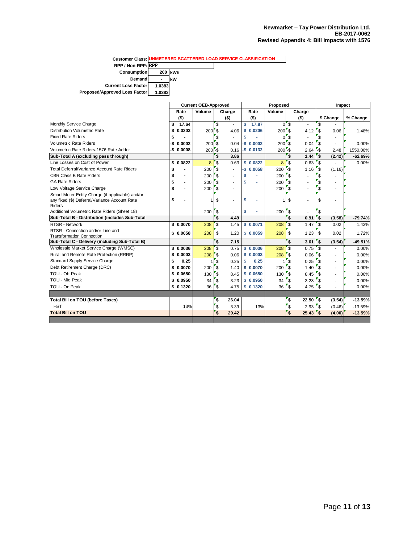**Customer Class: UNMETERED SCATTERED LOAD SERVICE CLASSIFICATION RPP / Non-RPP: RPP Consumption** 200 **kWh**<br>Demand - **kW Demand** -<br> **kg Factor** 1.0383 **Current Loss Factor Proposed/Approved Loss Factor 1.0383**

|                                                                                    | <b>Current OEB-Approved</b> |            |                                                |              | Proposed       |                                    | Impact                         |           |  |
|------------------------------------------------------------------------------------|-----------------------------|------------|------------------------------------------------|--------------|----------------|------------------------------------|--------------------------------|-----------|--|
|                                                                                    | Rate                        | Volume     | Charge                                         | Rate         | Volume         | Charge                             |                                |           |  |
|                                                                                    | $($ \$)                     |            | $($ \$)                                        | $($ \$)      |                | $($ \$)                            | \$ Change                      | % Change  |  |
| Monthly Service Charge                                                             | \$<br>17.64                 |            | $\mathbf{\hat{s}}$                             | \$<br>17.87  | $\Omega$       | \$<br>÷                            | \$                             |           |  |
| <b>Distribution Volumetric Rate</b>                                                | 0.0203<br>\$                | <b>200</b> | $\mathbf{s}$<br>4.06                           | S<br>0.0206  | $200$ $s$      | 4.12                               | \$<br>0.06                     | 1.48%     |  |
| <b>Fixed Rate Riders</b>                                                           | s                           |            | \$                                             | \$           | $\overline{0}$ | $\mathbf{s}$                       | \$                             |           |  |
| <b>Volumetric Rate Riders</b>                                                      | 0.0002<br>-\$               | $200 - $$  | 0.04                                           | $-S$ 0.0002  | $200 - $$      | 0.04                               | \$                             | 0.00%     |  |
| Volumetric Rate Riders-1576 Rate Adder                                             | $-$0.0008$                  | $200 - $$  | 0.16                                           | $-$0.0132$   | $200 - $$      | 2.64                               | -\$<br>2.48                    | 1550.00%  |  |
| Sub-Total A (excluding pass through)                                               |                             |            | $\ddot{s}$<br>3.86                             |              |                | $\ddot{s}$<br>1.44                 | '\$<br>(2.42)                  | $-62.69%$ |  |
| Line Losses on Cost of Power                                                       | \$0.0822                    | 8          | \$<br>0.63                                     | \$0.0822     | 8              | \$<br>0.63                         | \$<br>÷.                       | 0.00%     |  |
| Total Deferral/Variance Account Rate Riders                                        | \$                          | 200        | $\mathbf{\hat{s}}$<br>$\blacksquare$           | $-$0.0058$   | 200            | $-$ \$<br>1.16                     | \$<br>(1.16)                   |           |  |
| <b>CBR Class B Rate Riders</b>                                                     | \$<br>÷                     | 200        | $\mathsf{s}$<br>$\overline{\phantom{a}}$       | \$           | 200            | \$                                 | \$                             |           |  |
| <b>GA Rate Riders</b>                                                              | \$<br>ä,                    | 200        | $\mathbf{\hat{s}}$<br>$\overline{\phantom{a}}$ | \$           | 200            | \$                                 | \$                             |           |  |
| Low Voltage Service Charge                                                         | \$                          | 200        | <sup>\$</sup>                                  |              | 200            | 'S<br>٠                            | \$                             |           |  |
| Smart Meter Entity Charge (if applicable) and/or                                   |                             |            |                                                |              |                |                                    |                                |           |  |
| any fixed (\$) Deferral/Variance Account Rate                                      | \$                          | 1          | \$<br>$\blacksquare$                           | \$           |                | \$<br>٠                            | \$                             |           |  |
| <b>Riders</b>                                                                      |                             |            |                                                |              |                |                                    |                                |           |  |
| Additional Volumetric Rate Riders (Sheet 18)                                       |                             | 200        | $\sqrt{3}$<br>٠                                | \$           | 200            | $\sqrt{3}$<br>٠                    | \$                             |           |  |
| Sub-Total B - Distribution (includes Sub-Total                                     |                             |            | $\overline{\mathbf{s}}$<br>4.49                |              |                | $\overline{\mathbf{s}}$<br>0.91    | \$<br>(3.58)                   | $-79.74%$ |  |
| RTSR - Network                                                                     | \$0.0070                    | 208        | 'S<br>1.45                                     | \$0.0071     | 208            | $\mathbf{\hat{s}}$<br>1.47         | \$<br>0.02                     | 1.43%     |  |
| RTSR - Connection and/or Line and                                                  | \$0.0058                    | 208        | \$<br>1.20                                     | \$0.0059     | 208            | \$<br>1.23                         | \$<br>0.02                     | 1.72%     |  |
| <b>Transformation Connection</b><br>Sub-Total C - Delivery (including Sub-Total B) |                             |            | \$<br>7.15                                     |              |                | 3.61                               | (3.54)                         | -49.51%   |  |
| Wholesale Market Service Charge (WMSC)                                             | \$0.0036                    |            |                                                | \$0.0036     |                | $\boldsymbol{\mathsf{s}}$          | \$                             |           |  |
| Rural and Remote Rate Protection (RRRP)                                            |                             | 208        | \$<br>0.75                                     |              | 208            | $\mathsf{s}$<br>0.75               | \$<br>$\overline{\phantom{a}}$ | 0.00%     |  |
|                                                                                    | \$<br>0.0003                | 208        | <sub>\$</sub><br>0.06                          | 0.0003<br>\$ | 208            | 'S<br>0.06                         | \$<br>$\blacksquare$           | 0.00%     |  |
| Standard Supply Service Charge                                                     | \$<br>0.25                  | 1          | \$<br>0.25                                     | \$           | 0.25           | \$<br>0.25                         | \$<br>$\blacksquare$           | 0.00%     |  |
| Debt Retirement Charge (DRC)<br>TOU - Off Peak                                     | 0.0070<br>\$                | 200        | $\mathsf{\$}$<br>1.40                          | \$0.0070     | 200            | \$<br>1.40                         | \$<br>$\blacksquare$           | 0.00%     |  |
|                                                                                    | \$<br>0.0650                | 130        | <sup>\$</sup><br>8.45                          | \$0.0650     | 130            | \$<br>8.45                         | \$<br>$\blacksquare$           | 0.00%     |  |
| TOU - Mid Peak                                                                     | \$0.0950                    | 34         | $\mathbf{\hat{s}}$<br>3.23                     | \$<br>0.0950 | 34             | \$<br>3.23                         | \$<br>Ĭ.                       | 0.00%     |  |
| TOU - On Peak                                                                      | \$0.1320                    | 36         | \$<br>4.75                                     | \$0.1320     | 36             | \$<br>4.75                         | $\mathsf{\$}$                  | 0.00%     |  |
|                                                                                    |                             |            |                                                |              |                |                                    |                                |           |  |
| Total Bill on TOU (before Taxes)                                                   |                             |            | \$<br>26.04                                    |              |                | $\boldsymbol{\mathsf{s}}$<br>22.50 | \$<br>(3.54)                   | $-13.59%$ |  |
| <b>HST</b>                                                                         | 13%                         |            | $\mathsf{\$}$<br>3.39                          |              | 13%            | \$<br>$2.93$ \\$                   | (0.46)                         | $-13.59%$ |  |
| <b>Total Bill on TOU</b>                                                           |                             |            | $\mathbf{s}$<br>29.42                          |              |                | \$                                 | (4.00)                         | $-13.59%$ |  |
|                                                                                    |                             |            |                                                |              |                |                                    |                                |           |  |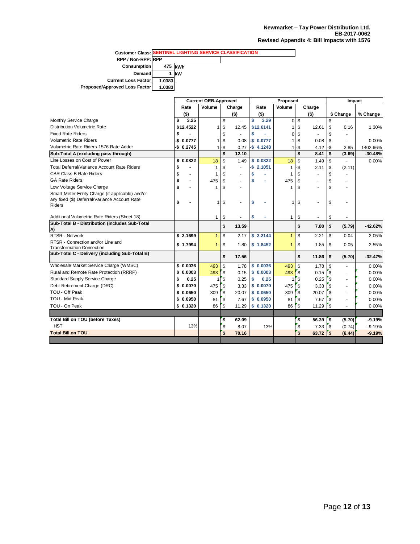|                               | <b>Customer Class: SENTINEL LIGHTING SERVICE CLASSIFICATION</b> |            |  |  |  |  |  |  |
|-------------------------------|-----------------------------------------------------------------|------------|--|--|--|--|--|--|
| RPP / Non-RPP: RPP            |                                                                 |            |  |  |  |  |  |  |
| <b>Consumption</b>            |                                                                 | 475 kWh    |  |  |  |  |  |  |
| <b>Demand</b>                 |                                                                 | <b>IkW</b> |  |  |  |  |  |  |
| <b>Current Loss Factor</b>    | 1.0383                                                          |            |  |  |  |  |  |  |
| Proposed/Approved Loss Factor | 1.0383                                                          |            |  |  |  |  |  |  |

|                                                                                                             | <b>Current OEB-Approved</b> |                                    | Proposed     |                          |              |              | Impact       |                |              |                          |           |
|-------------------------------------------------------------------------------------------------------------|-----------------------------|------------------------------------|--------------|--------------------------|--------------|--------------|--------------|----------------|--------------|--------------------------|-----------|
|                                                                                                             | Rate                        | Volume<br>Rate<br>Volume<br>Charge |              |                          | Charge       |              |              |                |              |                          |           |
|                                                                                                             | $($ \$)                     |                                    |              | $($ \$)                  | $($ \$)      |              |              | $($ \$)        |              | \$ Change                | % Change  |
| Monthly Service Charge                                                                                      | 3.25<br>\$                  |                                    | \$           |                          | \$<br>3.29   | 0            | \$           | $\blacksquare$ | \$           |                          |           |
| <b>Distribution Volumetric Rate</b>                                                                         | \$12.4522                   |                                    | \$           | 12.45                    | \$12,6141    | 1            | \$           | 12.61          | \$           | 0.16                     | 1.30%     |
| <b>Fixed Rate Riders</b>                                                                                    | \$                          |                                    | \$           |                          | \$           | 0            | \$           |                | \$           |                          |           |
| <b>Volumetric Rate Riders</b>                                                                               | 0.0777<br>-\$               |                                    | -\$          | 0.08                     | $-$0.0777$   |              | -\$          | 0.08           | \$           |                          | 0.00%     |
| Volumetric Rate Riders-1576 Rate Adder                                                                      | $-$0.2745$                  |                                    | -\$          | 0.27                     | $-$$ 4.1248  | 1            | -\$          | 4.12           | -\$          | 3.85                     | 1402.66%  |
| Sub-Total A (excluding pass through)                                                                        |                             |                                    | \$           | 12.10                    |              |              | \$           | 8.41           | \$           | (3.69)                   | $-30.48%$ |
| Line Losses on Cost of Power                                                                                | \$<br>0.0822                | 18                                 | \$           | 1.49                     | \$0.0822     | 18           | \$           | 1.49           | \$           | $\overline{\phantom{a}}$ | 0.00%     |
| Total Deferral/Variance Account Rate Riders                                                                 | \$                          |                                    | \$           | ÷                        | $-$ \$2.1051 | 1            | -\$          | 2.11           | \$           | (2.11)                   |           |
| <b>CBR Class B Rate Riders</b>                                                                              | \$                          | 1                                  | \$           |                          | \$           | 1            | \$           |                | \$           |                          |           |
| <b>GA Rate Riders</b>                                                                                       | \$<br>$\blacksquare$        | 475                                | \$           |                          | \$           | 475          | \$           | ٠              | \$           | $\overline{\phantom{a}}$ |           |
| Low Voltage Service Charge                                                                                  | \$                          | 1                                  | \$           |                          |              | 1            | \$           | $\overline{a}$ | \$           | $\overline{a}$           |           |
| Smart Meter Entity Charge (if applicable) and/or<br>any fixed (\$) Deferral/Variance Account Rate<br>Riders | \$                          | 1                                  | \$           |                          | \$           | 1            | \$           |                | \$           |                          |           |
| Additional Volumetric Rate Riders (Sheet 18)                                                                |                             | 1                                  | \$           | $\overline{\phantom{a}}$ | \$<br>٠      | 1            | \$           | $\blacksquare$ | \$           | $\overline{a}$           |           |
| Sub-Total B - Distribution (includes Sub-Total<br>A)                                                        |                             |                                    | \$           | 13.59                    |              |              | \$           | 7.80           | \$           | (5.79)                   | $-42.62%$ |
| <b>RTSR - Network</b>                                                                                       | \$2.1699                    | $\mathbf{1}$                       | \$           | 2.17                     | \$2.2144     | $\mathbf{1}$ | \$           | 2.21           | \$           | 0.04                     | 2.05%     |
| RTSR - Connection and/or Line and                                                                           | \$1.7994                    | $\mathbf{1}$                       | \$           | 1.80                     | \$1.8452     | $\mathbf{1}$ | \$           | 1.85           | \$           | 0.05                     | 2.55%     |
| <b>Transformation Connection</b>                                                                            |                             |                                    |              |                          |              |              |              |                |              |                          |           |
| Sub-Total C - Delivery (including Sub-Total B)                                                              |                             |                                    | \$           | 17.56                    |              |              | \$           | 11.86          | \$           | (5.70)                   | $-32.47%$ |
| Wholesale Market Service Charge (WMSC)                                                                      | \$0.0036                    | 493                                | \$           | 1.78                     | \$0.0036     | 493          | \$           | 1.78           | \$           | $\blacksquare$           | 0.00%     |
| Rural and Remote Rate Protection (RRRP)                                                                     | \$0.0003                    | 493                                | $\mathsf{s}$ | 0.15                     | 0.0003<br>\$ | 493          | ΄\$          | 0.15           | <b>S</b>     | $\blacksquare$           | 0.00%     |
| Standard Supply Service Charge                                                                              | 0.25<br>\$                  |                                    | \$           | 0.25                     | \$<br>0.25   |              | \$           | 0.25           | <b>S</b>     | $\sim$                   | 0.00%     |
| Debt Retirement Charge (DRC)                                                                                | \$0.0070                    | 475                                | \$           | 3.33                     | \$0.0070     | 475          | \$           | 3.33           | <b>S</b>     | $\sim$                   | 0.00%     |
| TOU - Off Peak                                                                                              | \$0.0650                    | 309                                | \$           | 20.07                    | \$0.0650     | 309          | $\sqrt{3}$   | 20.07          | <b>S</b>     | ٠                        | 0.00%     |
| TOU - Mid Peak                                                                                              | \$0.0950                    | 81                                 | \$           | 7.67                     | \$0.0950     | 81           | \$           | 7.67           | \$           | $\overline{a}$           | 0.00%     |
| TOU - On Peak                                                                                               | \$0.1320                    | 86                                 | \$           | 11.29                    | \$0.1320     | 86           | ՝ Ֆ          | 11.29          | r s          |                          | 0.00%     |
|                                                                                                             |                             |                                    |              |                          |              |              |              |                |              |                          |           |
| <b>Total Bill on TOU (before Taxes)</b>                                                                     |                             |                                    | \$           | 62.09                    |              |              | \$           | 56.39          | ΄\$          | (5.70)                   | $-9.19%$  |
| <b>HST</b>                                                                                                  | 13%                         |                                    | $\mathbf{s}$ | 8.07                     | 13%          |              | $\sqrt{3}$   | 7.33           | $\mathbf{s}$ | (0.74)                   | $-9.19%$  |
| <b>Total Bill on TOU</b>                                                                                    |                             |                                    | \$           | 70.16                    |              |              | $\mathbf{s}$ | 63.72          | $\mathbf{s}$ | (6.44)                   | $-9.19%$  |
|                                                                                                             |                             |                                    |              |                          |              |              |              |                |              |                          |           |